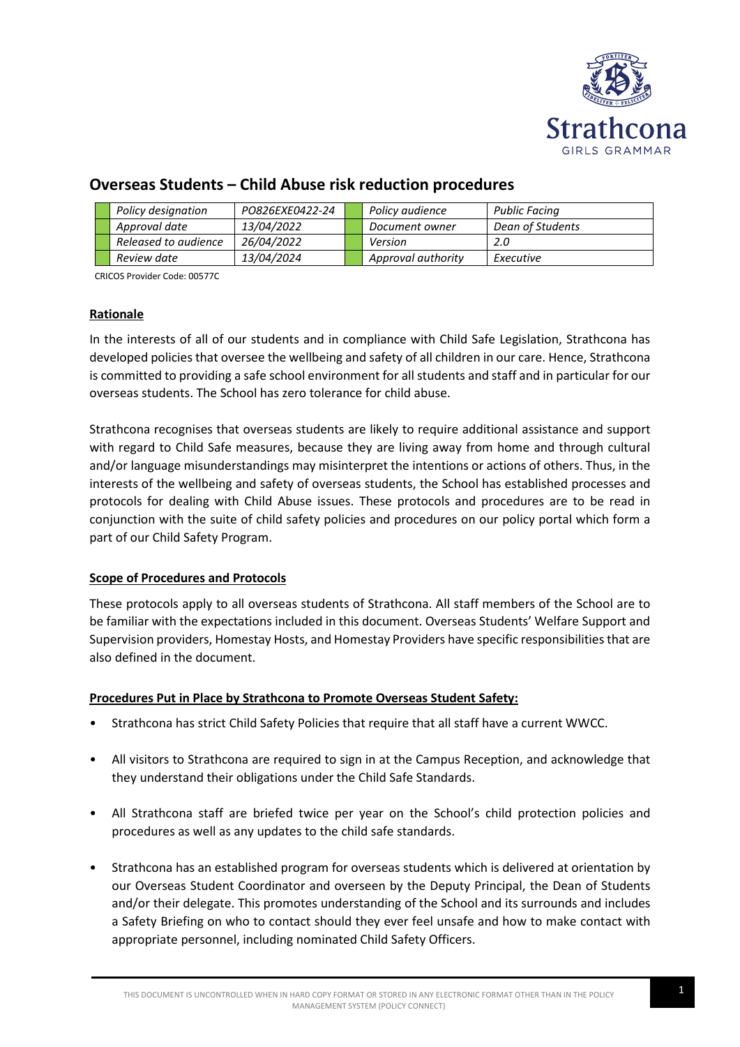

|  |  | Policy designation   | PO826EXE0422-24   |  | Policy audience    | Public Facing    |
|--|--|----------------------|-------------------|--|--------------------|------------------|
|  |  | Approval date        | <i>13/04/2022</i> |  | Document owner     | Dean of Students |
|  |  | Released to audience | 26/04/2022        |  | Version            | 2.0              |
|  |  | Review date          | <i>13/04/2024</i> |  | Approval authority | Executive        |

# **Overseas Students – Child Abuse risk reduction procedures**

CRICOS Provider Code: 00577C

## **Rationale**

In the interests of all of our students and in compliance with Child Safe Legislation, Strathcona has developed policies that oversee the wellbeing and safety of all children in our care. Hence, Strathcona is committed to providing a safe school environment for all students and staff and in particular for our overseas students. The School has zero tolerance for child abuse.

Strathcona recognises that overseas students are likely to require additional assistance and support with regard to Child Safe measures, because they are living away from home and through cultural and/or language misunderstandings may misinterpret the intentions or actions of others. Thus, in the interests of the wellbeing and safety of overseas students, the School has established processes and protocols for dealing with Child Abuse issues. These protocols and procedures are to be read in conjunction with the suite of child safety policies and procedures on our policy portal which form a part of our Child Safety Program.

## **Scope of Procedures and Protocols**

These protocols apply to all overseas students of Strathcona. All staff members of the School are to be familiar with the expectations included in this document. Overseas Students' Welfare Support and Supervision providers, Homestay Hosts, and Homestay Providers have specific responsibilities that are also defined in the document.

## **Procedures Put in Place by Strathcona to Promote Overseas Student Safety:**

- Strathcona has strict Child Safety Policies that require that all staff have a current WWCC.
- All visitors to Strathcona are required to sign in at the Campus Reception, and acknowledge that they understand their obligations under the Child Safe Standards.
- All Strathcona staff are briefed twice per year on the School's child protection policies and procedures as well as any updates to the child safe standards.
- Strathcona has an established program for overseas students which is delivered at orientation by our Overseas Student Coordinator and overseen by the Deputy Principal, the Dean of Students and/or their delegate. This promotes understanding of the School and its surrounds and includes a Safety Briefing on who to contact should they ever feel unsafe and how to make contact with appropriate personnel, including nominated Child Safety Officers.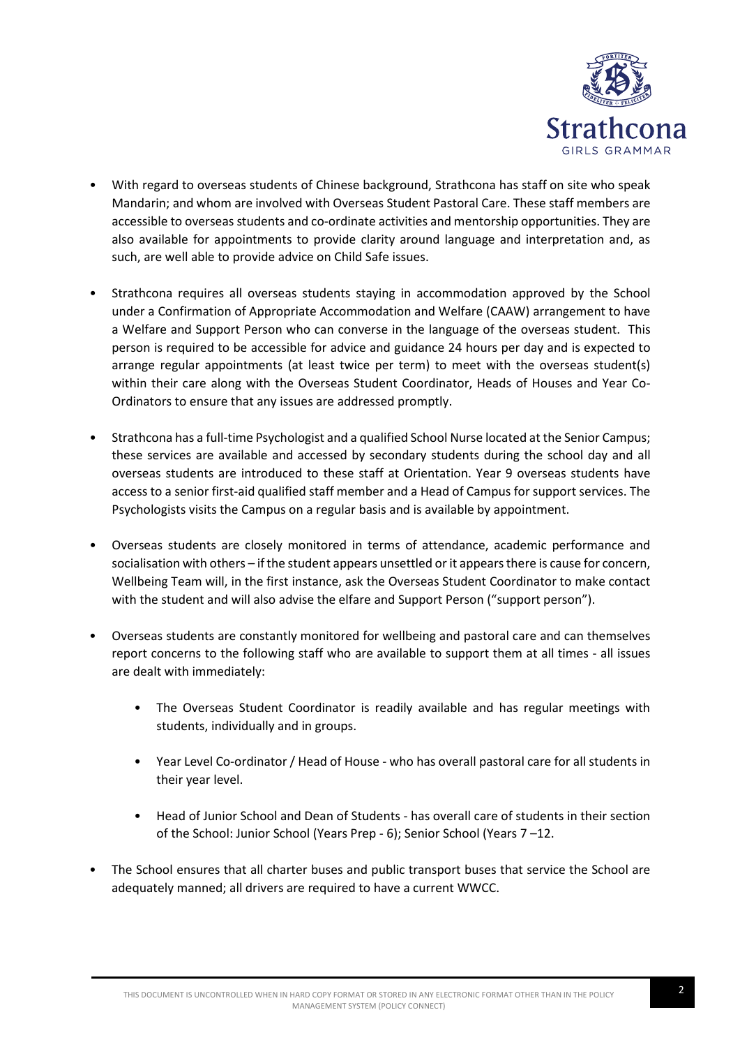

- With regard to overseas students of Chinese background, Strathcona has staff on site who speak Mandarin; and whom are involved with Overseas Student Pastoral Care. These staff members are accessible to overseas students and co-ordinate activities and mentorship opportunities. They are also available for appointments to provide clarity around language and interpretation and, as such, are well able to provide advice on Child Safe issues.
- Strathcona requires all overseas students staying in accommodation approved by the School under a Confirmation of Appropriate Accommodation and Welfare (CAAW) arrangement to have a Welfare and Support Person who can converse in the language of the overseas student. This person is required to be accessible for advice and guidance 24 hours per day and is expected to arrange regular appointments (at least twice per term) to meet with the overseas student(s) within their care along with the Overseas Student Coordinator, Heads of Houses and Year Co-Ordinators to ensure that any issues are addressed promptly.
- Strathcona has a full-time Psychologist and a qualified School Nurse located at the Senior Campus; these services are available and accessed by secondary students during the school day and all overseas students are introduced to these staff at Orientation. Year 9 overseas students have access to a senior first-aid qualified staff member and a Head of Campus for support services. The Psychologists visits the Campus on a regular basis and is available by appointment.
- Overseas students are closely monitored in terms of attendance, academic performance and socialisation with others – if the student appears unsettled or it appears there is cause for concern, Wellbeing Team will, in the first instance, ask the Overseas Student Coordinator to make contact with the student and will also advise the elfare and Support Person ("support person").
- Overseas students are constantly monitored for wellbeing and pastoral care and can themselves report concerns to the following staff who are available to support them at all times - all issues are dealt with immediately:
	- The Overseas Student Coordinator is readily available and has regular meetings with students, individually and in groups.
	- Year Level Co-ordinator / Head of House who has overall pastoral care for all students in their year level.
	- Head of Junior School and Dean of Students has overall care of students in their section of the School: Junior School (Years Prep - 6); Senior School (Years 7 –12.
- The School ensures that all charter buses and public transport buses that service the School are adequately manned; all drivers are required to have a current WWCC.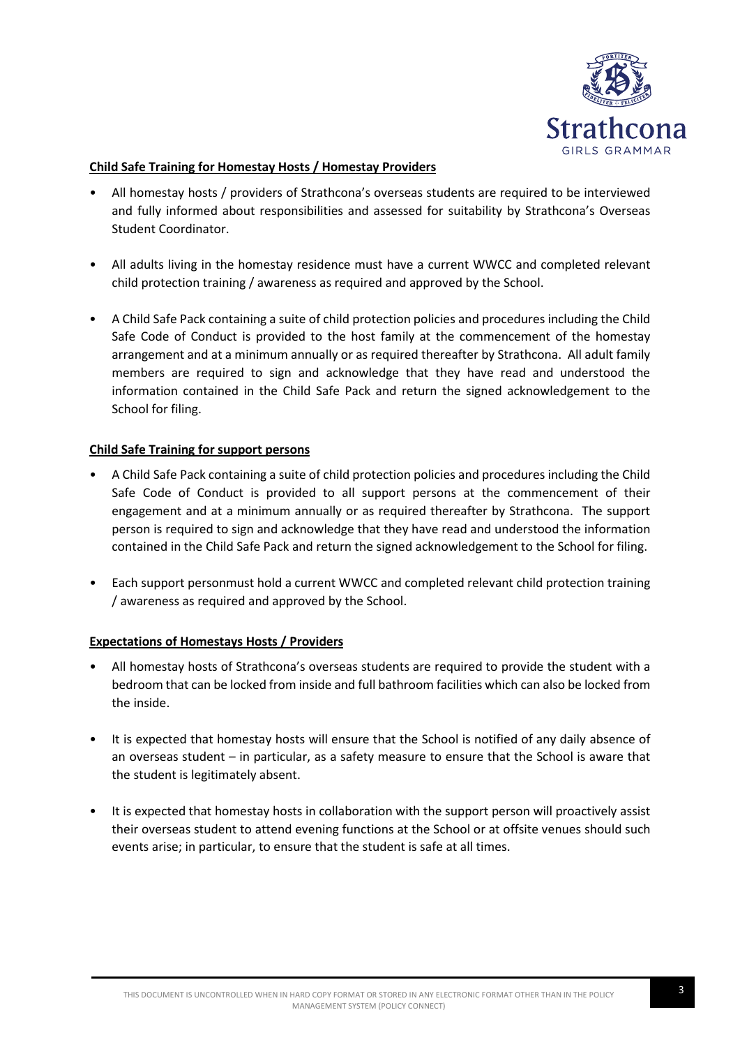

## **Child Safe Training for Homestay Hosts / Homestay Providers**

- All homestay hosts / providers of Strathcona's overseas students are required to be interviewed and fully informed about responsibilities and assessed for suitability by Strathcona's Overseas Student Coordinator.
- All adults living in the homestay residence must have a current WWCC and completed relevant child protection training / awareness as required and approved by the School.
- A Child Safe Pack containing a suite of child protection policies and procedures including the Child Safe Code of Conduct is provided to the host family at the commencement of the homestay arrangement and at a minimum annually or as required thereafter by Strathcona. All adult family members are required to sign and acknowledge that they have read and understood the information contained in the Child Safe Pack and return the signed acknowledgement to the School for filing.

## **Child Safe Training for support persons**

- A Child Safe Pack containing a suite of child protection policies and procedures including the Child Safe Code of Conduct is provided to all support persons at the commencement of their engagement and at a minimum annually or as required thereafter by Strathcona. The support person is required to sign and acknowledge that they have read and understood the information contained in the Child Safe Pack and return the signed acknowledgement to the School for filing.
- Each support personmust hold a current WWCC and completed relevant child protection training / awareness as required and approved by the School.

# **Expectations of Homestays Hosts / Providers**

- All homestay hosts of Strathcona's overseas students are required to provide the student with a bedroom that can be locked from inside and full bathroom facilities which can also be locked from the inside.
- It is expected that homestay hosts will ensure that the School is notified of any daily absence of an overseas student – in particular, as a safety measure to ensure that the School is aware that the student is legitimately absent.
- It is expected that homestay hosts in collaboration with the support person will proactively assist their overseas student to attend evening functions at the School or at offsite venues should such events arise; in particular, to ensure that the student is safe at all times.